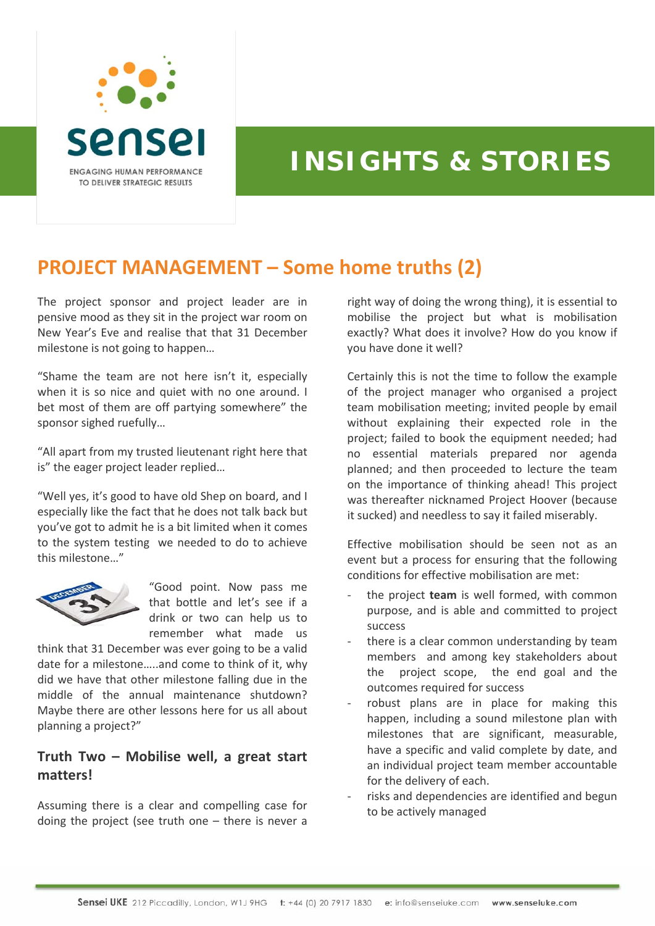

## **INSIGHTS & STORIES**

## **PROJECT MANAGEMENT – Some home truths (2)**

The project sponsor and project leader are in pensive mood as they sit in the project war room on New Year's Eve and realise that that 31 December milestone is not going to happen…

"Shame the team are not here isn't it, especially when it is so nice and quiet with no one around. I bet most of them are off partying somewhere" the sponsor sighed ruefully…

"All apart from my trusted lieutenant right here that is" the eager project leader replied…

"Well yes, it's good to have old Shep on board, and I especially like the fact that he does not talk back but you've got to admit he is a bit limited when it comes to the system testing we needed to do to achieve this milestone…"



"Good point. Now pass me that bottle and let's see if a drink or two can help us to remember what made us

think that 31 December was ever going to be a valid date for a milestone…..and come to think of it, why did we have that other milestone falling due in the middle of the annual maintenance shutdown? Maybe there are other lessons here for us all about planning a project?"

## **Truth Two – Mobilise well, a great start matters!**

Assuming there is a clear and compelling case for doing the project (see truth one – there is never a right way of doing the wrong thing), it is essential to mobilise the project but what is mobilisation exactly? What does it involve? How do you know if you have done it well?

Certainly this is not the time to follow the example of the project manager who organised a project team mobilisation meeting; invited people by email without explaining their expected role in the project; failed to book the equipment needed; had no essential materials prepared nor agenda planned; and then proceeded to lecture the team on the importance of thinking ahead! This project was thereafter nicknamed Project Hoover (because it sucked) and needless to say it failed miserably.

Effective mobilisation should be seen not as an event but a process for ensuring that the following conditions for effective mobilisation are met:

- ‐ the project **team** is well formed, with common purpose, and is able and committed to project success
- there is a clear common understanding by team members and among key stakeholders about the project scope, the end goal and the outcomes required for success
- robust plans are in place for making this happen, including a sound milestone plan with milestones that are significant, measurable, have a specific and valid complete by date, and an individual project team member accountable for the delivery of each.
- risks and dependencies are identified and begun to be actively managed